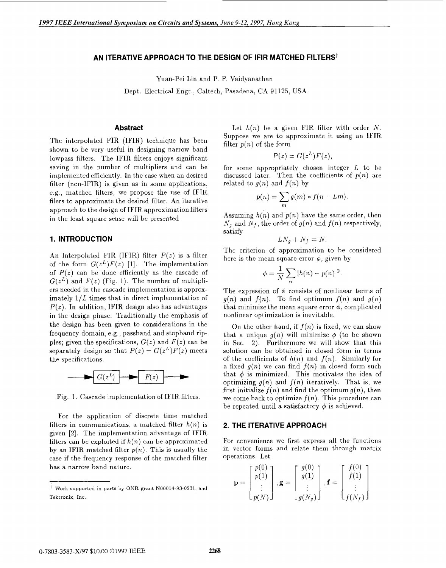## AN ITERATIVE APPROACH TO THE DESIGN OF IFIR MATCHED FILTERS<sup>†</sup>

Yuan-Pei Lin and P. P. Vaidyanathan

Dept. Electrical Engr., Caltech, Pasadena, CA 91125, USA

## **Abstract**

The interpolated FIR (IFIR) technique has been shown to be very useful in designing narrow band lowpass filters. The IFIR filters enjoys significant saving in the number of multipliers and can be implemented efficiently. In the case when an desired filter (non-IFIR) is given as in some applications, e.g., matched filters, we propose the use of IFIR filers to approximate the desired filter. An iterative approach to the design of IFIR approximation filters in the least square sense will be presented.

## **1. INTRODUCTION**

An Interpolated FIR (IFIR) filter  $P(z)$  is a filter of the form  $G(z^L)F(z)$  [1]. The implementation of  $P(z)$  can be done efficiently as the cascade of  $G(z^L)$  and  $F(z)$  (Fig. 1). The number of multipliers needed in the cascade implementation is approximately  $1/L$  times that in direct implementation of  $P(z)$ . In addition, IFIR design also has advantages in the design phase. Traditionally the emphasis of the design has been given to considerations in the frequency domain, e.g., passband and stopband ripples; given the specifications,  $G(z)$  and  $F(z)$  can be separately design so that  $P(z) = G(z^L)F(z)$  meets the specifications.



Fig. 1. Cascade implementation of IFIR filters.

For the application of discrete time matched filters in communications, a matched filter *h(n)* is given *[a].* The implementation advantage of IFIR filters can be exploited if  $h(n)$  can be approximated by an IFIR matched filter  $p(n)$ . This is usually the case if the frequency response of the matched filter has a narrow band nature.

Let  $h(n)$  be a given FIR filter with order  $N$ . Suppose we are to approximate it using an IFIR filter  $p(n)$  of the form

$$
P(z) = G(z^L)F(z),
$$

for some appropriately chosen integer *L* to be discussed later. Then the coefficients of  $p(n)$  are related to  $g(n)$  and  $f(n)$  by

$$
p(n) = \sum_{m} g(m) * f(n - Lm).
$$

Assuming  $h(n)$  and  $p(n)$  have the same order, then  $N_q$  and  $N_f$ , the order of  $g(n)$  and  $f(n)$  respectively, satisfy

$$
LN_g + N_f = N.
$$

The criterion of approximation to be considered here is the mean square error  $\phi$ , given by

$$
\phi = \frac{1}{N} \sum_n |h(n) - p(n)|^2.
$$

The expression of  $\phi$  consists of nonlinear terms of  $g(n)$  and  $f(n)$ . To find optimum  $f(n)$  and  $g(n)$ that minimize the mean square error  $\phi$ , complicated nonlinear optimization is inevitable.

On the other hand, if  $f(n)$  is fixed, we can show that a unique  $g(n)$  will minimize  $\phi$  (to be shown in Sec. 2). Furthermore we will show that this solution can be obtained in closed form in terms of the coefficients of  $h(n)$  and  $f(n)$ . Similarly for a fixed  $g(n)$  we can find  $f(n)$  in closed form such that  $\phi$  is minimized. This motivates the idea of optimizing  $g(n)$  and  $f(n)$  iteratively. That is, we first initialize  $f(n)$  and find the optimum  $g(n)$ , then we come back to optimize  $f(n)$ . This procedure can be repeated until a satisfactory  $\phi$  is achieved.

#### **2. THE ITERATIVE APPROACH**

For convenience we first express all the functions in vector forms and relate them through matrix operations. Let

$$
\mathbf{p} = \begin{bmatrix} p(0) \\ p(1) \\ \vdots \\ p(N) \end{bmatrix}, \mathbf{g} = \begin{bmatrix} g(0) \\ g(1) \\ \vdots \\ g(N_g) \end{bmatrix}, \mathbf{f} = \begin{bmatrix} f(0) \\ f(1) \\ \vdots \\ f(N_f) \end{bmatrix}
$$

t Work supported in parts by ONR grant N00014-93-0231, and Tektronix, Inc.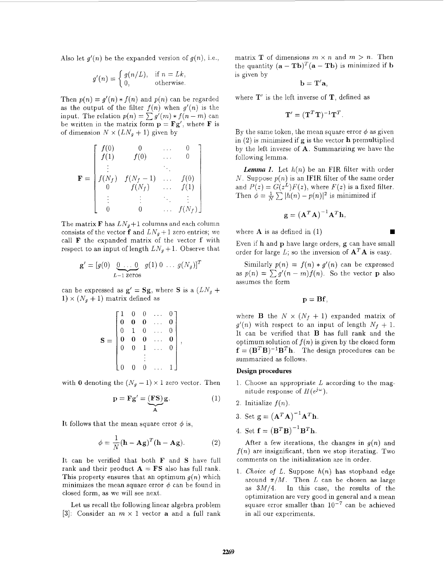Also let  $g'(n)$  be the expanded version of  $g(n)$ , i.e.,

$$
g'(n) = \begin{cases} g(n/L), & \text{if } n = Lk, \\ 0, & \text{otherwise.} \end{cases}
$$

Then  $p(n) = g'(n) * f(n)$  and  $p(n)$  can be regarded as the output of the filter  $f(n)$  when  $g'(n)$  is the input. The relation  $p(n) = \sum_{n=0}^{\infty} g'(m) * f(n-m)$  can be written in the matrix form  $\mathbf{p} = \mathbf{F}\mathbf{g}'$ , where **F** is of dimension  $N \times (LN_g + 1)$  given by

$$
\mathbf{F} = \begin{bmatrix} f(0) & 0 & \dots & 0 \\ f(1) & f(0) & \dots & 0 \\ \vdots & & \ddots & \\ f(N_f) & f(N_f - 1) & \dots & f(0) \\ 0 & f(N_f) & \dots & f(1) \\ \vdots & \vdots & \ddots & \vdots \\ 0 & 0 & \dots & f(N_f) \end{bmatrix}
$$

The matrix **F** has  $LN_g+1$  columns and each column consists of the vector **f** and  $LN_q + 1$  zero entries; we call **F** the expanded matrix of the vector **f** with respect to an input of length  $LN_q + 1$ . Observe that atrix **F** has  $LN_g + 1$  columns<br>ts of the vector **f** and  $LN_g +$ <br>' the expanded matrix of t<br>t to an input of length  $LN_g$ .<br> $\mathbf{g}' = [g(0) \underbrace{0 \dots 0}_{L-1 \text{ zeros}} g(1) 0$ 

$$
\mathbf{g}' = [g(0) \underbrace{0 \dots 0}_{L-1 \text{ zeros}} g(1) 0 \dots g(N_g)]^T
$$

can be expressed as  $g' = Sg$ , where S is a  $(LN_g +$  $1) \times (N_g + 1)$  matrix defined as

$$
\mathbf{S} = \begin{bmatrix} 1 & 0 & 0 & \dots & 0 \\ \mathbf{0} & \mathbf{0} & \mathbf{0} & \dots & \mathbf{0} \\ 0 & 1 & 0 & \dots & 0 \\ \mathbf{0} & \mathbf{0} & \mathbf{0} & \dots & \mathbf{0} \\ 0 & 0 & 1 & \dots & 0 \\ \vdots & \vdots & \ddots & \vdots & \vdots \end{bmatrix},
$$

with 0 denoting the  $(N_g - 1) \times 1$  zero vector. Then

the 
$$
(N_g - 1) \times 1
$$
 zero vector. Then  
\n
$$
\mathbf{p} = \mathbf{F} \mathbf{g}' = \underbrace{(\mathbf{F} \mathbf{S})}_{\mathbf{A}} \mathbf{g}.
$$
\n(1)

It follows that the mean square error  $\phi$  is,

$$
\phi = \frac{1}{N} (\mathbf{h} - \mathbf{A}\mathbf{g})^T (\mathbf{h} - \mathbf{A}\mathbf{g}).
$$
 (2)

It can be verified that both **F** and **S** have full rank and their product  $\mathbf{A} = \mathbf{FS}$  also has full rank. This property ensures that an optimum  $g(n)$  which minimizes the mean square error  $\phi$  can be found in closed form, as we will see next.

Let us recall the following linear algebra problem **[3]:** Consider an *m* x 1 vector **a** and a full rank matrix **T** of dimensions  $m \times n$  and  $m > n$ . Then the quantity  $(**a** - **Tb**)<sup>T</sup>(**a** - **Tb**)$  is minimized if **b** is given by

$$
\mathbf{b}=\mathbf{T}'\mathbf{a},
$$

where T' is the left inverse of **T,** defined as

$$
\mathbf{T}' = (\mathbf{T}^T \mathbf{T})^{-1} \mathbf{T}^T.
$$

By the same token, the mean square error  $\phi$  as given in (2) is minimized if *g* is the vector **h** premultiplied by the left inverse of **A.** Summarizing we have the following lemma.

*Lemma 1.* Let  $h(n)$  be an FIR filter with order *N*. Suppose  $p(n)$  is an IFIR filter of the same order and  $P(z) = G(z^L)F(z)$ , where  $F(z)$  is a fixed filter. Then  $\phi = \frac{1}{N} \sum |h(n) - p(n)|^2$  is minimized if

$$
\mathbf{g} = \left(\mathbf{A}^T \mathbf{A}\right)^{-1} \mathbf{A}^T \mathbf{h},
$$

where **A** is as defined in (1)

Even if h and **p** have large orders, g can have small order for large *L*; so the inversion of  $\mathbf{A}^T \mathbf{A}$  is easy.

Similarly  $p(n) = f(n) * g'(n)$  can be expressed as  $p(n) = \sum g'(n-m)f(n)$ . So the vector **p** also assumes the form

$$
\mathbf{p}=\mathbf{B}\mathbf{f},
$$

where **B** the  $N \times (N_f + 1)$  expanded matrix of  $g'(n)$  with respect to an input of length  $N_f + 1$ . It can be verified that **B** has full rank and the optimum solution of  $f(n)$  is given by the closed form  $f = (B^T B)^{-1} B^T h$ . The design procedures can be summarized as follows.

#### **Design procedures**

- 1. Choose an appropriate *L* according to the magnitude response of  $H(e^{j\omega})$ .
- 2. Initialize  $f(n)$ .
- 3. Set  $g = (A^T A)^{-1} A^T h$ .
- 4. Set  $\mathbf{f} = (\mathbf{B}^T \mathbf{B})^{-1} \mathbf{B}^T \mathbf{h}$ .

After a few iterations, the changes in  $q(n)$  and  $f(n)$  are insignificant, then we stop iterating. Two comments on the initialization are in order,

1. *Choice* of *L.* Suppose *h(n)* has stopband edge around  $\pi/M$ . Then *L* can be chosen as large as  $3M/4$ . In this case, the results of the optimization are very good in general and a mean square error smaller than  $10^{-7}$  can be achieved in all our experiments.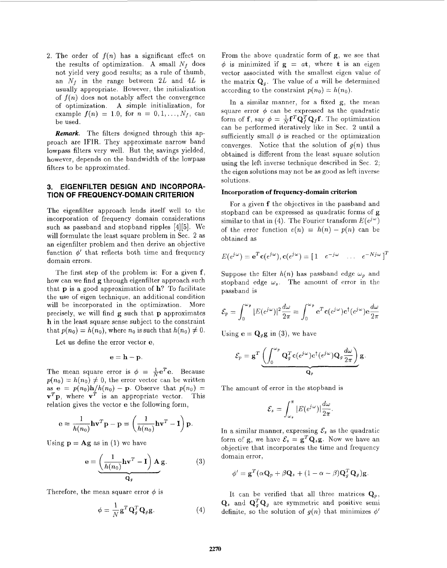2. The order of  $f(n)$  has a significant effect on the results of optimization. A small  $N_f$  does not yield very good results; as a rule of thumb, an  $N_f$  in the range between 2L and 4L is usually appropriate. However, the initialization of  $f(n)$  does not notably affect the convergence of optimization. A simple initialization, for example  $f(n) = 1.0$ , for  $n = 0, 1, ..., N_f$ , can be used.

*Remark.* The filters designed through this approach are IFIR. They approximate narrow band lowpass filters very well. But the savings yielded, however, depends on the bandwidth of the lowpass filters to be approximated.

# **3. EIGENFILTER DESIGN AND INCORPORA-TION OF FREQUENCY-DOMAIN CRITERION**

The eigenfilter approach lends itself well to the incorporation of frequency domain considerations such as passband and stopband ripples **[4][5].** We will formulate the least square problem in Sec. *2* as an eigenfilter problem and then derive an objective function  $\phi'$  that reflects both time and frequency domain errors.

The first step of the problem is: For a given **f,**  how can we find *g* through eigenfilter approach such that **p** is a good approximation of h? To facilitate the use of eigen technique, an additional condition will be incorporated in the optimization. More precisely, we will find **g** such that **p** approximates h in the least square sense subject to the constraint that  $p(n_0) = h(n_0)$ , where  $n_0$  is such that  $h(n_0) \neq 0$ .

Let us define the error vector *e,* 

 $e = h - p$ .

The mean square error is  $\phi = \frac{1}{N}e^{T}e$ . Because  $p(n_0) = h(n_0) \neq 0$ , the error vector can be written as  $e = p(n_0)h/h(n_0) - p$ . Observe that  $p(n_0) =$  $v^T p$ , where  $v^T$  is an appropriate vector. This relation gives the vector *e* the following form,

$$
\mathbf{e} = \frac{1}{h(n_0)} \mathbf{h} \mathbf{v}^T \mathbf{p} - \mathbf{p} = \left(\frac{1}{h(n_0)} \mathbf{h} \mathbf{v}^T - \mathbf{I}\right) \mathbf{p}.
$$

Using  $\mathbf{p} = \mathbf{A} \mathbf{g}$  as in (1) we have

$$
\mathbf{e} = \underbrace{\left(\frac{1}{h(n_0)}\mathbf{h}\mathbf{v}^T - \mathbf{I}\right)\mathbf{A}}_{\mathbf{Q}_g} \mathbf{g}.
$$
 (3)

Therefore, the mean square error  $\phi$  is

$$
\phi = \frac{1}{N} \mathbf{g}^T \mathbf{Q}_g^T \mathbf{Q}_g \mathbf{g}.
$$
 (4)

From the above quadratic form of *g,* we see that  $\phi$  is minimized if  $g = at$ , where **t** is an eigen vector associated with the smallest eigen value of the matrix  $\mathbf{Q}_q$ . The value of a will be determined according to the constraint  $p(n_0) = h(n_0)$ .

In a similar manner, for a fixed *g,* the mean square error  $\phi$  can be expressed as the quadratic form of **f**, say  $\phi = \frac{1}{N} \mathbf{f}^T \mathbf{Q}_t^T \mathbf{Q}_t \mathbf{f}$ . The optimization can be performed iteratively like in Sec. 2 until a sufficiently small  $\phi$  is reached or the optimization converges. Notice that the solution of  $g(n)$  thus obtained is different from the least square solution using the left inverse technique described in Sec. 2; the eigen solutions may not be as good as left inverse solutions.

#### **Incorpcration of frequency-domain criterion**

For a given **f** the objectives in the passband and stopband can be expressed as quadratic forms of *g*  similar to that in (4). The Fourier transform  $E(e^{j\omega})$ of the error function  $e(n) = h(n) - p(n)$  can be obtained as

$$
E(e^{j\omega}) = \mathbf{e}^T \mathbf{c}(e^{j\omega}), \mathbf{c}(e^{j\omega}) = \begin{bmatrix} 1 & e^{-j\omega} & \dots & e^{-Nj\omega} \end{bmatrix}^T
$$

Suppose the filter  $h(n)$  has passband edge  $\omega_p$  and stopband edge  $\omega_s$ . The amount of error in the passband is

$$
\mathcal{E}_p = \int_0^{\omega_p} |E(e^{j\omega})|^2 \frac{d\omega}{2\pi} = \int_0^{\omega_p} e^T c(e^{j\omega}) c^\dagger (e^{j\omega}) e \frac{d\omega}{2\pi}
$$

Using  $\mathbf{e} = \mathbf{Q}_g \mathbf{g}$  in (3), we have

$$
\mathcal{E}_p = \mathbf{g}^T \underbrace{\left( \int_0^{\omega_p} \mathbf{Q}_g^T \mathbf{c}(e^{j\omega}) \mathbf{c}^\dagger(e^{j\omega}) \mathbf{Q}_g \frac{d\omega}{2\pi} \right)}_{\mathbf{Q}_p} \mathbf{g}
$$

The amount of error in the stopband is

$$
\mathcal{E}_s = \int_{\omega_s}^{\pi} |E(e^{j\omega})| \frac{d\omega}{2\pi}.
$$

In a similar manner, expressing  $\mathcal{E}_s$  as the quadratic form of **g**, we have  $\mathcal{E}_s = \mathbf{g}^T \mathbf{Q}_s \mathbf{g}$ . Now we have an objective that incorporates the time and frequency domain error,

$$
\phi' = \mathbf{g}^T(\alpha \mathbf{Q}_p + \beta \mathbf{Q}_s + (1 - \alpha - \beta)\mathbf{Q}_g^T \mathbf{Q}_g)\mathbf{g}.
$$

It can be verified that all three matrices  $\mathbf{Q}_p$ ,  $\mathbf{Q}_s$  and  $\mathbf{Q}_s^T\mathbf{Q}_s$  are symmetric and positive semi definite, so the solution of  $g(n)$  that minimizes  $\phi'$